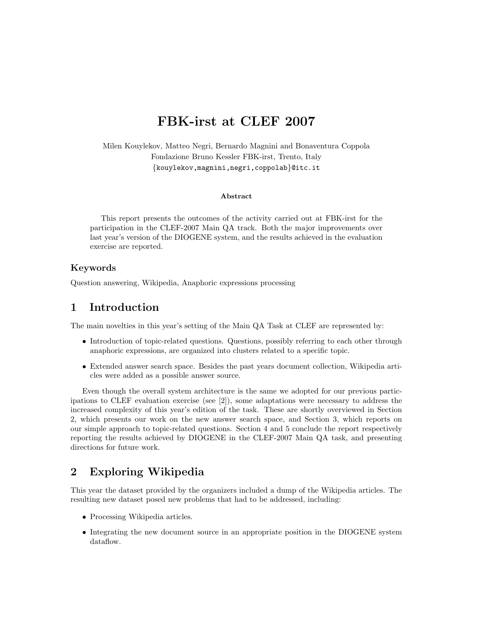# FBK-irst at CLEF 2007

Milen Kouylekov, Matteo Negri, Bernardo Magnini and Bonaventura Coppola Fondazione Bruno Kessler FBK-irst, Trento, Italy {kouylekov,magnini,negri,coppolab}@itc.it

#### Abstract

This report presents the outcomes of the activity carried out at FBK-irst for the participation in the CLEF-2007 Main QA track. Both the major improvements over last year's version of the DIOGENE system, and the results achieved in the evaluation exercise are reported.

#### Keywords

Question answering, Wikipedia, Anaphoric expressions processing

# 1 Introduction

The main novelties in this year's setting of the Main QA Task at CLEF are represented by:

- Introduction of topic-related questions. Questions, possibly referring to each other through anaphoric expressions, are organized into clusters related to a specific topic.
- Extended answer search space. Besides the past years document collection, Wikipedia articles were added as a possible answer source.

Even though the overall system architecture is the same we adopted for our previous participations to CLEF evaluation exercise (see [2]), some adaptations were necessary to address the increased complexity of this year's edition of the task. These are shortly overviewed in Section 2, which presents our work on the new answer search space, and Section 3, which reports on our simple approach to topic-related questions. Section 4 and 5 conclude the report respectively reporting the results achieved by DIOGENE in the CLEF-2007 Main QA task, and presenting directions for future work.

# 2 Exploring Wikipedia

This year the dataset provided by the organizers included a dump of the Wikipedia articles. The resulting new dataset posed new problems that had to be addressed, including:

- Processing Wikipedia articles.
- Integrating the new document source in an appropriate position in the DIOGENE system dataflow.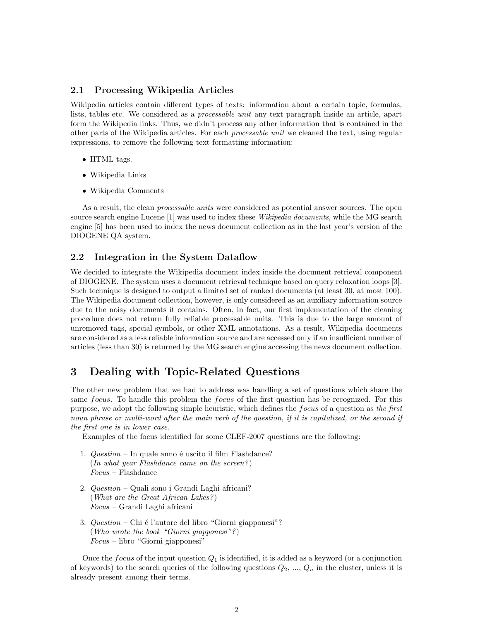#### 2.1 Processing Wikipedia Articles

Wikipedia articles contain different types of texts: information about a certain topic, formulas, lists, tables etc. We considered as a *processable unit* any text paragraph inside an article, apart form the Wikipedia links. Thus, we didn't process any other information that is contained in the other parts of the Wikipedia articles. For each *processable unit* we cleaned the text, using regular expressions, to remove the following text formatting information:

- HTML tags.
- Wikipedia Links
- Wikipedia Comments

As a result, the clean *processable units* were considered as potential answer sources. The open source search engine Lucene [1] was used to index these *Wikipedia documents*, while the MG search engine [5] has been used to index the news document collection as in the last year's version of the DIOGENE QA system.

#### 2.2 Integration in the System Dataflow

We decided to integrate the Wikipedia document index inside the document retrieval component of DIOGENE. The system uses a document retrieval technique based on query relaxation loops [3]. Such technique is designed to output a limited set of ranked documents (at least 30, at most 100). The Wikipedia document collection, however, is only considered as an auxiliary information source due to the noisy documents it contains. Often, in fact, our first implementation of the cleaning procedure does not return fully reliable processable units. This is due to the large amount of unremoved tags, special symbols, or other XML annotations. As a result, Wikipedia documents are considered as a less reliable information source and are accessed only if an insufficient number of articles (less than 30) is returned by the MG search engine accessing the news document collection.

# 3 Dealing with Topic-Related Questions

The other new problem that we had to address was handling a set of questions which share the same *focus*. To handle this problem the *focus* of the first question has be recognized. For this purpose, we adopt the following simple heuristic, which defines the focus of a question as the first noun phrase or multi-word after the main verb of the question, if it is capitalized, or the second if the first one is in lower case.

Examples of the focus identified for some CLEF-2007 questions are the following:

- 1.  $Question In$  quale anno  $\acute{e}$  uscito il film Flashdance?  $(In what year Flashdance came on the screen?)$ Focus – Flashdance
- 2. Question Quali sono i Grandi Laghi africani? (What are the Great African Lakes? ) Focus – Grandi Laghi africani
- 3.  $Question Chi$  é l'autore del libro "Giorni giapponesi"? (Who wrote the book "Giorni giapponesi"? )  $Focus - libro$  "Giorni giapponesi"

Once the *focus* of the input question  $Q_1$  is identified, it is added as a keyword (or a conjunction of keywords) to the search queries of the following questions  $Q_2, ..., Q_n$  in the cluster, unless it is already present among their terms.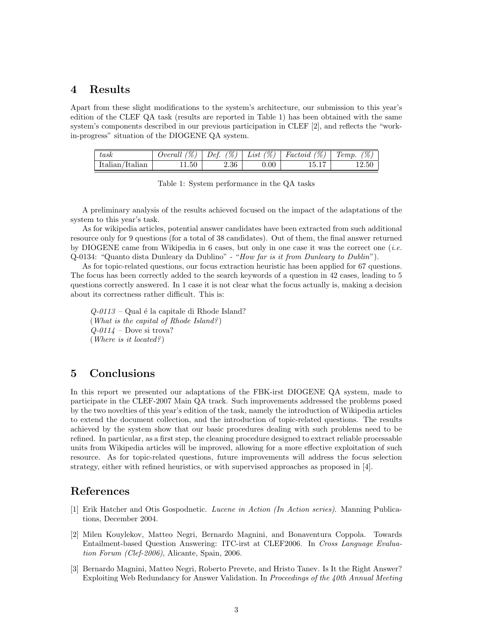### 4 Results

Apart from these slight modifications to the system's architecture, our submission to this year's edition of the CLEF QA task (results are reported in Table 1) has been obtained with the same system's components described in our previous participation in CLEF [2], and reflects the "workin-progress" situation of the DIOGENE QA system.

| task               | $\mathscr{C}$ | $\mathscr{C}_0$ , | $\mathscr{C})$ | $\mathscr{C}$ | $\mathscr{C}$ |
|--------------------|---------------|-------------------|----------------|---------------|---------------|
|                    | Jverall       | Def.              | List           | Factoid       | 1emp.         |
| Italian<br>Italian | 11.50         | 2.36              | $0.00\,$       | 1.61          | $12.50\,$     |

Table 1: System performance in the QA tasks

A preliminary analysis of the results achieved focused on the impact of the adaptations of the system to this year's task.

As for wikipedia articles, potential answer candidates have been extracted from such additional resource only for 9 questions (for a total of 38 candidates). Out of them, the final answer returned by DIOGENE came from Wikipedia in 6 cases, but only in one case it was the correct one (i.e. Q-0134: "Quanto dista Dunleary da Dublino" - "How far is it from Dunleary to Dublin").

As for topic-related questions, our focus extraction heuristic has been applied for 67 questions. The focus has been correctly added to the search keywords of a question in 42 cases, leading to 5 questions correctly answered. In 1 case it is not clear what the focus actually is, making a decision about its correctness rather difficult. This is:

 $Q$ -0113 – Qual é la capitale di Rhode Island? (What is the capital of Rhode Island? )  $Q-0114$  – Dove si trova? (Where is it located?)

# 5 Conclusions

In this report we presented our adaptations of the FBK-irst DIOGENE QA system, made to participate in the CLEF-2007 Main QA track. Such improvements addressed the problems posed by the two novelties of this year's edition of the task, namely the introduction of Wikipedia articles to extend the document collection, and the introduction of topic-related questions. The results achieved by the system show that our basic procedures dealing with such problems need to be refined. In particular, as a first step, the cleaning procedure designed to extract reliable processable units from Wikipedia articles will be improved, allowing for a more effective exploitation of such resource. As for topic-related questions, future improvements will address the focus selection strategy, either with refined heuristics, or with supervised approaches as proposed in [4].

# References

- [1] Erik Hatcher and Otis Gospodnetic. Lucene in Action (In Action series). Manning Publications, December 2004.
- [2] Milen Kouylekov, Matteo Negri, Bernardo Magnini, and Bonaventura Coppola. Towards Entailment-based Question Answering: ITC-irst at CLEF2006. In Cross Language Evaluation Forum (Clef-2006), Alicante, Spain, 2006.
- [3] Bernardo Magnini, Matteo Negri, Roberto Prevete, and Hristo Tanev. Is It the Right Answer? Exploiting Web Redundancy for Answer Validation. In Proceedings of the 40th Annual Meeting